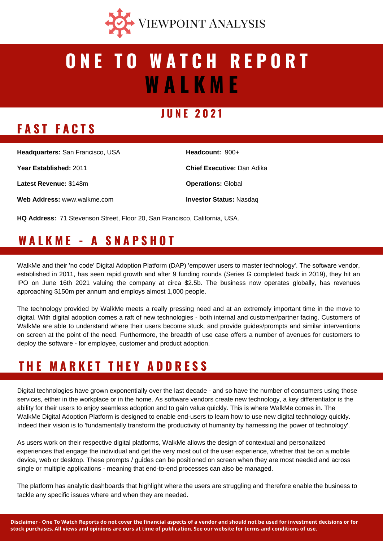

# **W A L K M E O N E T O W A T C H R E P O R T**

#### **J U N E 2 0 2 1**

# **F A S T F A C T S**

| <b>Headquarters:</b> San Francisco, USA | Headcount: $900+$                 |
|-----------------------------------------|-----------------------------------|
| <b>Year Established: 2011</b>           | <b>Chief Executive: Dan Adika</b> |
| <b>Latest Revenue: \$148m</b>           | <b>Operations: Global</b>         |
| <b>Web Address:</b> www.walkme.com      | <b>Investor Status: Nasdag</b>    |

**HQ Address:** 71 Stevenson Street, Floor 20, San Francisco, California, USA.

# **W A L K M E - A S N A P S H O T**

WalkMe and their 'no code' Digital Adoption Platform (DAP) 'empower users to master technology'. The software vendor, established in 2011, has seen rapid growth and after 9 funding rounds (Series G completed back in 2019), they hit an IPO on June 16th 2021 valuing the company at circa \$2.5b. The business now operates globally, has revenues approaching \$150m per annum and employs almost 1,000 people.

The technology provided by WalkMe meets a really pressing need and at an extremely important time in the move to digital. With digital adoption comes a raft of new technologies - both internal and customer/partner facing. Customers of WalkMe are able to understand where their users become stuck, and provide guides/prompts and similar interventions on screen at the point of the need. Furthermore, the breadth of use case offers a number of avenues for customers to deploy the software - for employee, customer and product adoption.

#### **T H E M A R K E T T H E Y A D D R E S S**

Digital technologies have grown exponentially over the last decade - and so have the number of consumers using those services, either in the workplace or in the home. As software vendors create new technology, a key differentiator is the ability for their users to enjoy seamless adoption and to gain value quickly. This is where WalkMe comes in. The WalkMe Digital Adoption Platform is designed to enable end-users to learn how to use new digital technology quickly. Indeed their vision is to 'fundamentally transform the productivity of humanity by harnessing the power of technology'.

As users work on their respective digital platforms, WalkMe allows the design of contextual and personalized experiences that engage the individual and get the very most out of the user experience, whether that be on a mobile device, web or desktop. These prompts / guides can be positioned on screen when they are most needed and across single or multiple applications - meaning that end-to-end processes can also be managed.

The platform has analytic dashboards that highlight where the users are struggling and therefore enable the business to tackle any specific issues where and when they are needed.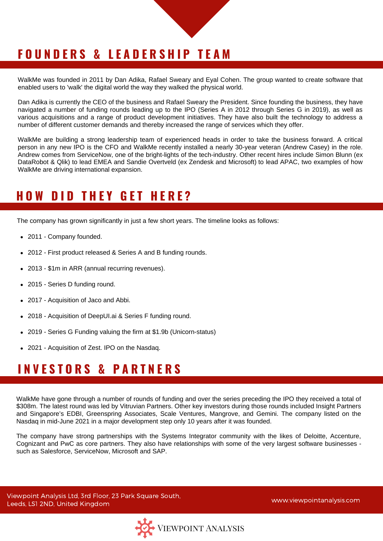# **F O U N D E R S & L E A D E R S H I P T E A M**

WalkMe was founded in 2011 by Dan Adika, Rafael Sweary and Eyal Cohen. The group wanted to create software that enabled users to 'walk' the digital world the way they walked the physical world.

Dan Adika is currently the CEO of the business and Rafael Sweary the President. Since founding the business, they have navigated a number of funding rounds leading up to the IPO (Series A in 2012 through Series G in 2019), as well as various acquisitions and a range of product development initiatives. They have also built the technology to address a number of different customer demands and thereby increased the range of services which they offer.

WalkMe are building a strong leadership team of experienced heads in order to take the business forward. A critical person in any new IPO is the CFO and WalkMe recently installed a nearly 30-year veteran (Andrew Casey) in the role. Andrew comes from ServiceNow, one of the bright-lights of the tech-industry. Other recent hires include Simon Blunn (ex DataRobot & Qlik) to lead EMEA and Sandie Overtveld (ex Zendesk and Microsoft) to lead APAC, two examples of how WalkMe are driving international expansion.

#### **H O W D I D T H E Y G E T H E R E ?**

The company has grown significantly in just a few short years. The timeline looks as follows:

- 2011 Company founded.
- 2012 First product released & Series A and B funding rounds.
- 2013 \$1m in ARR (annual recurring revenues).
- 2015 Series D funding round.
- 2017 Acquisition of Jaco and Abbi.
- 2018 Acquisition of DeepUI.ai & Series F funding round.
- 2019 Series G Funding valuing the firm at \$1.9b (Unicorn-status)
- 2021 Acquisition of Zest. IPO on the Nasdaq.

## **I N V E S T O R S & P A R T N E R S**

WalkMe have gone through a number of rounds of funding and over the series preceding the IPO they received a total of \$308m. The latest round was led by Vitruvian Partners. Other key investors during those rounds included Insight Partners and Singapore's EDBI, Greenspring Associates, Scale Ventures, Mangrove, and Gemini. The company listed on the Nasdaq in mid-June 2021 in a major development step only 10 years after it was founded.

The company have strong partnerships with the Systems Integrator community with the likes of Deloitte, Accenture, Cognizant and PwC as core partners. They also have relationships with some of the very largest software businesses such as Salesforce, ServiceNow, Microsoft and SAP.

Viewpoint Analysis Ltd, 3rd Floor, 23 Park Square South, Leeds, LS1 2ND, United Kingdom

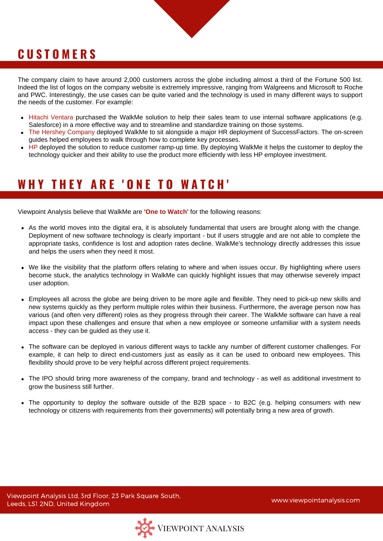### **C U S T O M E R S**

The company claim to have around 2,000 customers across the globe including almost a third of the Fortune 500 list. Indeed the list of logos on the company website is extremely impressive, ranging from Walgreens and Microsoft to Roche and PWC. Interestingly, the use cases can be quite varied and the technology is used in many different ways to support the needs of the customer. For example:

- Hitachi Ventara purchased the WalkMe solution to help their sales team to use internal software applications (e.g. Salesforce) in a more effective way and to streamline and standardize training on those systems.
- The Hershey Company deployed WalkMe to sit alongside a major HR deployment of SuccessFactors. The on-screen guides helped employees to walk through how to complete key processes.
- HP deployed the solution to reduce customer ramp-up time. By deploying WalkMe it helps the customer to deploy the technology quicker and their ability to use the product more efficiently with less HP employee investment.

#### **W H Y T H E Y A R E ' O N E T O W A T C H '**

Viewpoint Analysis believe that WalkMe are **'One to Watch'** for the following reasons:

- As the world moves into the digital era, it is absolutely fundamental that users are brought along with the change. Deployment of new software technology is clearly important - but if users struggle and are not able to complete the appropriate tasks, confidence is lost and adoption rates decline. WalkMe's technology directly addresses this issue and helps the users when they need it most.
- We like the visibility that the platform offers relating to where and when issues occur. By highlighting where users become stuck, the analytics technology in WalkMe can quickly highlight issues that may otherwise severely impact user adoption.
- Employees all across the globe are being driven to be more agile and flexible. They need to pick-up new skills and new systems quickly as they perform multiple roles within their business. Furthermore, the average person now has various (and often very different) roles as they progress through their career. The WalkMe software can have a real impact upon these challenges and ensure that when a new employee or someone unfamiliar with a system needs access - they can be guided as they use it.
- The software can be deployed in various different ways to tackle any number of different customer challenges. For example, it can help to direct end-customers just as easily as it can be used to onboard new employees. This flexibility should prove to be very helpful across different project requirements.
- The IPO should bring more awareness of the company, brand and technology as well as additional investment to grow the business still further.
- The opportunity to deploy the software outside of the B2B space to B2C (e.g. helping consumers with new technology or citizens with requirements from their governments) will potentially bring a new area of growth.